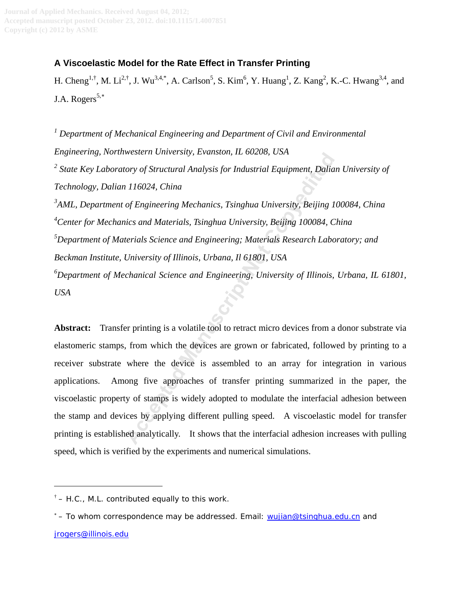# **A Viscoelastic Model for the Rate Effect in Transfer Printing**

H. Cheng<sup>1,†</sup>, M. Li<sup>2,†</sup>, J. Wu<sup>3,4,\*</sup>, A. Carlson<sup>5</sup>, S. Kim<sup>6</sup>, Y. Huang<sup>1</sup>, Z. Kang<sup>2</sup>, K.-C. Hwang<sup>3,4</sup>, and J.A. Rogers $5,*$ 

<sup>1</sup> Department of Mechanical Engineering and Department of Civil and Environmental *Engineering, Northwestern University, Evanston, IL 60208, USA*  <sup>2</sup> State Key Laboratory of Structural Analysis for Industrial Equipment, Dalian University of *Technology, Dalian 116024, China 3 AML, Department of Engineering Mechanics, Tsinghua University, Beijing 100084, China 4 Center for Mechanics and Materials, Tsinghua University, Beijing 100084, China 5 Department of Materials Science and Engineering; Materials Research Laboratory; and Beckman Institute, University of Illinois, Urbana, Il 61801, USA 6 Department of Mechanical Science and Engineering, University of Illinois, Urbana, IL 61801, USA Manuscrian, Endison, I. Bozzoo, CSA*<br> *Actory of Structural Analysis for Industrial Equipment, Dalia*<br> *Actory of Engineering Mechanics, Tsinghua University, Beijing 1*<br> *Actorials Science and Engineering: Materials Resea* 

**Abstract:** Transfer printing is a volatile tool to retract micro devices from a donor substrate via elastomeric stamps, from which the devices are grown or fabricated, followed by printing to a receiver substrate where the device is assembled to an array for integration in various applications. Among five approaches of transfer printing summarized in the paper, the viscoelastic property of stamps is widely adopted to modulate the interfacial adhesion between the stamp and devices by applying different pulling speed. A viscoelastic model for transfer printing is established analytically. It shows that the interfacial adhesion increases with pulling speed, which is verified by the experiments and numerical simulations.

 $\ddot{ }$ 

<span id="page-0-0"></span> $^{\dagger}$  [– H.C., M.L](mailto:–%20To%20whom%20correspondence%20may%20be%20addressed.%20Email:%20y-huang@northwestern.edu). contributed equally to this work.

<sup>\* –</sup> To whom correspondence may be addressed. Email: [wujian@tsinghua.edu.cn](mailto:wujian@tsinghua.edu.cn) and [jrogers@illinois.edu](mailto:jrogers@illinois.edu)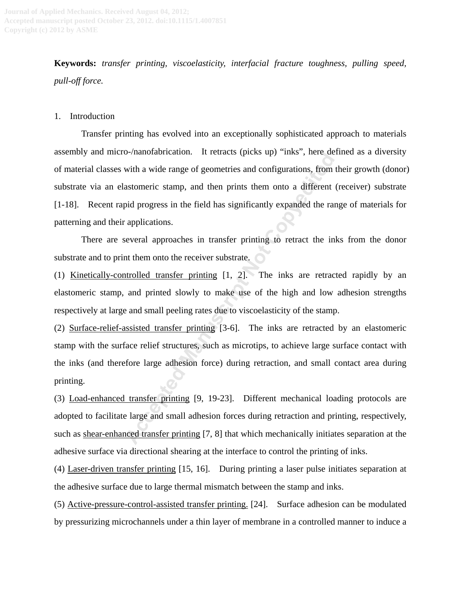**Keywords:** *transfer printing, viscoelasticity, interfacial fracture toughness, pulling speed, pull-off force.*

### 1. Introduction

Transfer printing has evolved into an exceptionally sophisticated approach to materials assembly and micro-/nanofabrication. It retracts (picks up) "inks", here defined as a diversity of material classes with a wide range of geometries and configurations, from their growth (donor) substrate via an elastomeric stamp, and then prints them onto a different (receiver) substrate [\[1-18\]](#page-8-0). Recent rapid progress in the field has significantly expanded the range of materials for patterning and their applications. **Example and Solution** in tendet[s](#page-8-2) (picks up) miks, there are<br>with a wide range of geometries and configurations, from<br>astomeric stamp, and then prints them onto a different<br>pid progress in the field has significantly expan

There are several approaches in transfer printing to retract the inks from the donor substrate and to print them onto the receiver substrate.

(1) Kinetically-controlled transfer printing [1, 2]. The inks are retracted rapidly by an elastomeric stamp, and printed slowly to make use of the high and low adhesion strengths respectively at large and small peeling rates due to viscoelasticity of the stamp.

(2) Surface-relief-assisted transfer printing [3-6]. The inks are retracted by an elastomeric stamp with the surface relief structures, such as microtips, to achieve large surface contact with the inks (and therefore large adhesion force) during retraction, and small contact area during printing.

(3) Load-enhanced transfer printing [9, 19-23]. Different mechanical loading protocols are adopted to facilitate large and small adhesion forces during retraction and printing, respectively, such as shear-enhanced transfer printing [7, 8] that which mechanically initiates separation at the adhesive surface via directional shearing at the interface to control the printing of inks.

(4) Laser-driven transfer printing [\[15,](#page-9-1) [16\]](#page-9-2). During printing a laser pulse initiates separation at the adhesive surface due to large thermal mismatch between the stamp and inks.

(5) Active-pressure-control-assisted transfer printing. [\[24\]](#page-9-3). Surface adhesion can be modulated by pressurizing microchannels under a thin layer of membrane in a controlled manner to induce a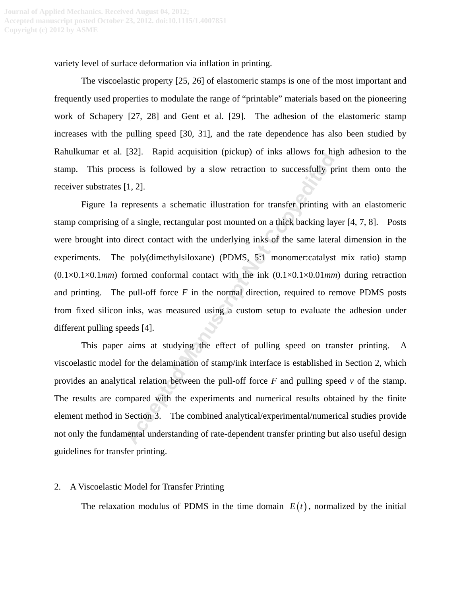variety level of surface deformation via inflation in printing.

The viscoelastic property [\[25,](#page-9-4) [26\]](#page-9-5) of elastomeric stamps is one of the most important and frequently used properties to modulate the range of "printable" materials based on the pioneering work of Schapery [\[27,](#page-9-6) [28\]](#page-9-7) and Gent et al. [\[29\]](#page-10-0). The adhesion of the elastomeric stamp increases with the pulling speed [\[30,](#page-10-1) [31\]](#page-10-2), and the rate dependence has also been studied by Rahulkumar et al. [\[32\]](#page-10-3). Rapid acquisition (pickup) of inks allows for high adhesion to the stamp. This process is followed by a slow retraction to successfully print them onto the receiver substrates [1, 2].

Figure 1a represents a schematic illustration for transfer printing with an elastomeric stamp comprising of a single, rectangular post mounted on a thick backing layer [\[4,](#page-8-6) [7,](#page-8-4) [8\]](#page-8-5). Posts were brought into direct contact with the underlying inks of the same lateral dimension in the experiments. The poly(dimethylsiloxane) (PDMS, 5:1 monomer:catalyst mix ratio) stamp (0.1×0.1×0.1*mm*) formed conformal contact with the ink (0.1×0.1×0.01*mm*) during retraction and printing. The pull-off force *F* in the normal direction, required to remove PDMS posts from fixed silicon inks, was measured using a custom setup to evaluate the adhesion under different pulling speeds [4]. [1,22]. Kaphu acquisition (pickup) of likes allows for lines<br>ass is followed by a slow retraction to successfully p<br>fl. 2].<br>The presents a schematic illustration for transfer printing v<br>f a single, rectangular post mounte

This paper aims at studying the effect of pulling speed on transfer printing. A viscoelastic model for the delamination of stamp/ink interface is established in Section 2, which provides an analytical relation between the pull-off force *F* and pulling speed *v* of the stamp. The results are compared with the experiments and numerical results obtained by the finite element method in Section 3. The combined analytical/experimental/numerical studies provide not only the fundamental understanding of rate-dependent transfer printing but also useful design guidelines for transfer printing.

### 2. A Viscoelastic Model for Transfer Printing

The relaxation modulus of PDMS in the time domain  $E(t)$ , normalized by the initial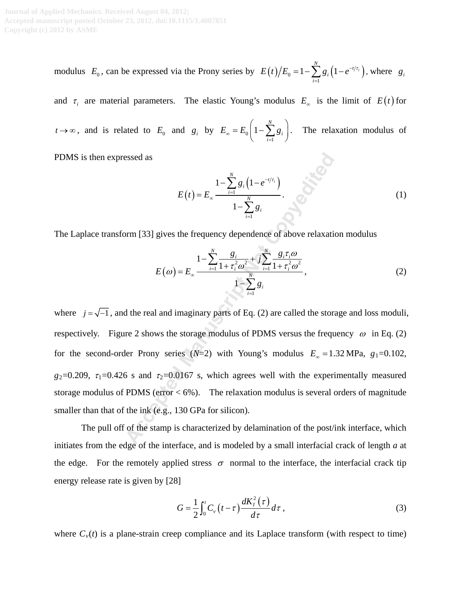modulus  $E_0$ , can be expressed via the Prony series by  $E(t)/E_0 = 1 - \sum g_i \left( 1 - e^{-t/\tau_i} \right)$ 1  $1 - \sum_{i=1}^{N} g_i (1 - e^{-t/\tau_i})$ *i i*  $E(t)/E_0 = 1 - \sum g_i (1 - e^{-t/\tau})$  $=1-\sum_{i=1}^{n} g_i\left(1-e^{-t/\tau_i}\right)$ , where  $g_i$ 

and  $\tau_i$  are material parameters. The elastic Young's modulus  $E_\infty$  is the limit of  $E(t)$  for

 $t \rightarrow \infty$ , and is related to  $E_0$  and  $g_i$  by  $E_\infty = E_0$ 1 1 *N i i*  $E_{\infty} = E_0 | 1 - \sum g$  $= E_0 \left( 1 - \sum_{i=1}^{N} g_i \right)$ . The relaxation modulus of

PDMS is then expressed as

$$
E(t) = E_{\infty} \frac{1 - \sum_{i=1}^{N} g_i (1 - e^{-t/\tau_i})}{1 - \sum_{i=1}^{N} g_i}.
$$
 (1)

The Laplace transform [33] gives the frequency dependence of above relaxation modulus

$$
E(\omega) = E_{\infty} \frac{1 - \sum_{i=1}^{N} \frac{g_i}{1 + \tau_i^2 \omega^2} + j \sum_{i=1}^{N} \frac{g_i \tau_i \omega}{1 + \tau_i^2 \omega^2}}{1 - \sum_{i=1}^{N} g_i},
$$
(2)

where  $j = \sqrt{-1}$ , and the real and imaginary parts of Eq. (2) are called the storage and loss moduli, respectively. Figure 2 shows the storage modulus of PDMS versus the frequency  $\omega$  in Eq. (2) for the second-order Prony series ( $N=2$ ) with Young's modulus  $E_{\infty} = 1.32 \text{ MPa}$ ,  $g_1 = 0.102$ ,  $g_2=0.209$ ,  $\tau_1=0.426$  s and  $\tau_2=0.0167$  s, which agrees well with the experimentally measured storage modulus of PDMS (error  $< 6\%$ ). The relaxation modulus is several orders of magnitude smaller than that of the ink (e.g., 130 GPa for silicon). essed as<br>  $E(t) = E_{\infty} \frac{1 - \sum_{i=1}^{N} g_i (1 - e^{-t/\tau_i})}{1 - \sum_{i=1}^{N} g_i}$ <br>
Dorm [33] gives the frequency dependence of above relaxation<br>  $E(\omega) = E_{\infty} \frac{1 - \sum_{i=1}^{N} \frac{g_i}{1 + \tau_i^2 \omega^2} + j \sum_{i=1}^{N} \frac{g_i \tau_i \omega}{1 + \tau_i^2 \omega^2}}{1 - \sum_{i=1}^{N$ 

The pull off of the stamp is characterized by delamination of the post/ink interface, which initiates from the edge of the interface, and is modeled by a small interfacial crack of length *a* at the edge. For the remotely applied stress  $\sigma$  normal to the interface, the interfacial crack tip energy release rate is given by [\[28\]](#page-9-7)

$$
G = \frac{1}{2} \int_0^t C_v \left( t - \tau \right) \frac{dK_t^2(\tau)}{d\tau} d\tau , \qquad (3)
$$

where  $C_v(t)$  is a plane-strain creep compliance and its Laplace transform (with respect to time)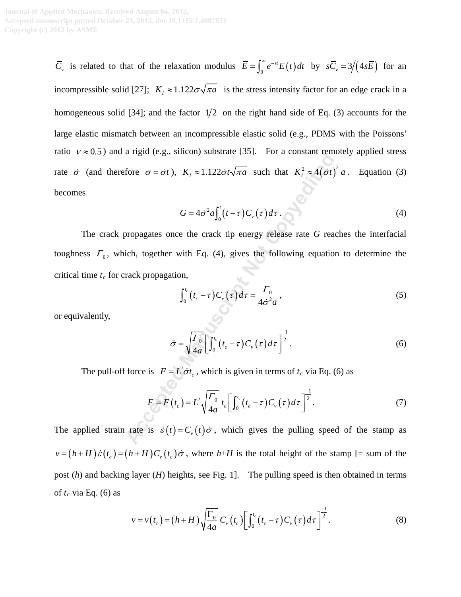*C<sub>v</sub>* is related to that of the relaxation modulus  $\overline{E} = \int_0^\infty e^{-st} E(t) dt$  by  $s\overline{C}_v = 3/(4s\overline{E})$  for an incompressible solid [\[27\]](#page-9-6);  $K_i \approx 1.122 \sigma \sqrt{\pi a}$  is the stress intensity factor for an edge crack in a homogeneous solid [\[34\]](#page-10-5); and the factor  $1/2$  on the right hand side of Eq. (3) accounts for the large elastic mismatch between an incompressible elastic solid (e.g., PDMS with the Poissons' ratio  $v \approx 0.5$ ) and a rigid (e.g., silicon) substrate [\[35\]](#page-10-6). For a constant remotely applied stress rate  $\dot{\sigma}$  (and therefore  $\sigma = \dot{\sigma}t$ ),  $K_t \approx 1.122 \dot{\sigma}t \sqrt{\pi a}$  such that  $K_t^2 \approx 4 (\dot{\sigma}t)^2 a$ . Equation (3) becomes

$$
G = 4\dot{\sigma}^2 a \int_0^t (t-\tau) C_v(\tau) d\tau. \tag{4}
$$

The crack propagates once the crack tip energy release rate *G* reaches the interfacial toughness  $\Gamma_0$ , which, together with Eq. (4), gives the following equation to determine the critical time  $t_c$  for crack propagation, a rigid (e.g., sincon) substant [55]. Total constant refinition<br>
fore  $\sigma = \dot{\sigma}t$ ),  $K_t \approx 1.122 \dot{\sigma}t \sqrt{\pi a}$  such that  $K_t^2 \approx 4(\dot{\sigma}t)$ <br>  $G = 4\dot{\sigma}^2 a \int_0^t (t-\tau) C_v(\tau) d\tau$ .<br>
propagates once the crack tip energy release ra

$$
\int_0^{t_c} \left( t_c - \tau \right) C_v \left( \tau \right) d\tau = \frac{\Gamma_0}{4\dot{\sigma}^2 a},\tag{5}
$$

or equivalently,

$$
\dot{\sigma} = \sqrt{\frac{\Gamma_0}{4a}} \left[ \int_0^{t_c} \left( t_c - \tau \right) C_v \left( \tau \right) d\tau \right]^{-\frac{1}{2}}.
$$
\n(6)

The pull-off force is  $F = L^2 \dot{\sigma} t_c$ , which is given in terms of  $t_c$  via Eq. (6) as

$$
F = F(t_c) = L^2 \sqrt{\frac{\Gamma_0}{4a}} t_c \left[ \int_0^{t_c} (t_c - \tau) C_v(\tau) d\tau \right]^{-\frac{1}{2}}.
$$
 (7)

The applied strain rate is  $\dot{\varepsilon}(t) = C_v(t)\dot{\sigma}$ , which gives the pulling speed of the stamp as  $v = (h + H)\dot{\varepsilon}(t_c) = (h + H)C_v(t_c)\dot{\sigma}$ , where  $h + H$  is the total height of the stamp [= sum of the post (*h*) and backing layer (*H*) heights, see Fig. 1]. The pulling speed is then obtained in terms of  $t_c$  via Eq. (6) as

$$
v = v(t_c) = (h+H)\sqrt{\frac{\Gamma_0}{4a}} C_v(t_c) \left[ \int_0^{t_c} (t_c - \tau) C_v(\tau) d\tau \right]^{-\frac{1}{2}}.
$$
 (8)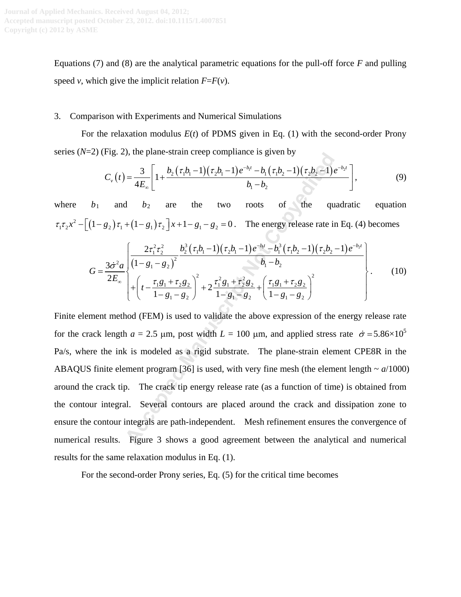Equations (7) and (8) are the analytical parametric equations for the pull-off force *F* and pulling speed *v*, which give the implicit relation  $F = F(v)$ .

### 3. Comparison with Experiments and Numerical Simulations

For the relaxation modulus *E*(*t*) of PDMS given in Eq. (1) with the second-order Prony series  $(N=2)$  (Fig. 2), the plane-strain creep compliance is given by

$$
C_{\nu}(t) = \frac{3}{4E_{\infty}} \left[ 1 + \frac{b_2(\tau_1 b_1 - 1)(\tau_2 b_1 - 1)e^{-b_1 t} - b_1(\tau_1 b_2 - 1)(\tau_2 b_2 - 1)e^{-b_2 t}}{b_1 - b_2} \right],
$$
\n(9)

where  $b_1$  and  $b_2$  are the two roots of the quadratic equation  $\tau_1 \tau_2 x^2 - \left[ (1 - g_2) \tau_1 + (1 - g_1) \tau_2 \right] x + 1 - g_1 - g_2 = 0$ . The energy release rate in Eq. (4) becomes

$$
G = \frac{3\dot{\sigma}^2 a}{2E_{\infty}} \left\{ \frac{2\tau_1^2 \tau_2^2}{\left(1 - g_1 - g_2\right)^2} \frac{b_2^3 \left(\tau_1 b_1 - 1\right) \left(\tau_2 b_1 - 1\right) e^{-b_1 t} - b_1^3 \left(\tau_1 b_2 - 1\right) \left(\tau_2 b_2 - 1\right) e^{-b_2 t}}{b_1 - b_2} \right\} + \left\{ t - \frac{\tau_1 g_1 + \tau_2 g_2}{1 - g_1 - g_2} \right\}^2 + 2 \frac{\tau_1^2 g_1 + \tau_2^2 g_2}{1 - g_1 - g_2} + \left(\frac{\tau_1 g_1 + \tau_2 g_2}{1 - g_1 - g_2}\right)^2} \right\}.
$$
 (10)

Finite element method (FEM) is used to validate the above expression of the energy release rate for the crack length  $a = 2.5$  µm, post width  $L = 100$  µm, and applied stress rate  $\dot{\sigma} = 5.86 \times 10^5$ Pa/s, where the ink is modeled as a rigid substrate. The plane-strain element CPE8R in the ABAQUS finite element program [36] is used, with very fine mesh (the element length  $\sim a/1000$ ) around the crack tip. The crack tip energy release rate (as a function of time) is obtained from the contour integral. Several contours are placed around the crack and dissipation zone to ensure the contour integrals are path-independent. Mesh refinement ensures the convergence of numerical results. Figure 3 shows a good agreement between the analytical and numerical results for the same relaxation modulus in Eq. (1). by the plane-strain cleep compinance is given by<br>  $\frac{3}{4E_{\infty}}\left[1+\frac{b_2(\tau_1b_1-1)(\tau_2b_1-1)e^{-b_1}-b_1(\tau_1b_2-1)(\tau_2b_2-1)}{b_1-b_2}\right]$ <br>  $\frac{b_2}{b_1-b_2}$  are the two roots of the qu<br>  $+(1-g_1)\tau_2\left]x+1-g_1-g_2=0$ . The energy rel

For the second-order Prony series, Eq. (5) for the critical time becomes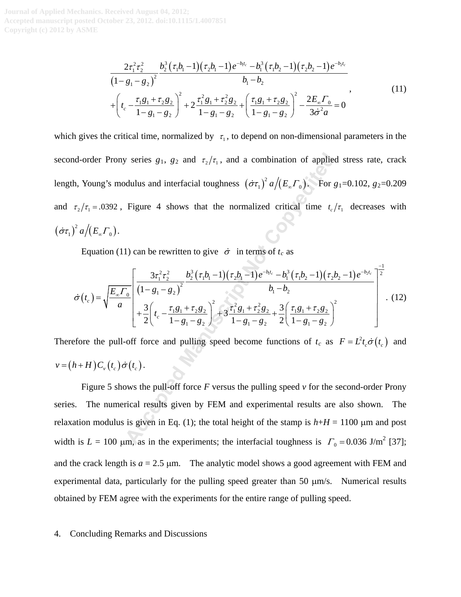$$
\frac{2\tau_1^2\tau_2^2}{\left(1 - g_1 - g_2\right)^2} \frac{b_2^3(\tau_1b_1 - 1)(\tau_2b_1 - 1)e^{-b_1t_c} - b_1^3(\tau_1b_2 - 1)(\tau_2b_2 - 1)e^{-b_2t_c}}{b_1 - b_2} + \left(t_c - \frac{\tau_1g_1 + \tau_2g_2}{1 - g_1 - g_2}\right)^2 + 2\frac{\tau_1^2g_1 + \tau_2^2g_2}{1 - g_1 - g_2} + \left(\frac{\tau_1g_1 + \tau_2g_2}{1 - g_1 - g_2}\right)^2 - \frac{2E_{\infty}\Gamma_0}{3\dot{\sigma}^2a} = 0
$$
\n(11)

which gives the critical time, normalized by  $\tau_1$ , to depend on non-dimensional parameters in the second-order Prony series  $g_1$ ,  $g_2$  and  $\tau_2/\tau_1$ , and a combination of applied stress rate, crack length, Young's modulus and interfacial toughness  $(\dot{\sigma}\tau_1)^2 a/(E_{\alpha} \tau_0)$ . For  $g_1$ =0.102,  $g_2$ =0.209 and  $\tau_2/\tau_1 = .0392$ , Figure 4 shows that the normalized critical time  $t_c/\tau_1$  decreases with  $\big(\dot{\sigma}\tau_{_{1}} \big)^{2}\,a \big/\! \big(E_{_{\infty}}\varGamma_{_{0}} \big).$ *y* series *g*<sub>1</sub>, *g*<sub>2</sub> and  $\tau_2/\tau_1$ , and a combination of applied<br>dulus and interfacial toughness  $(\sigma \tau_1)^2 a / (E_x \tau_0)$ . For *t*<br>Figure 4 shows that the normalized critical time  $t_c$ ,<br>1) can be rewritten to give  $\dot{\sigma$ 

Equation (11) can be rewritten to give  $\dot{\sigma}$  in terms of  $t_c$  as

$$
\dot{\sigma}(t_c) = \sqrt{\frac{E_{\infty} \Gamma_0}{a}} \left[ \frac{3\tau_1^2 \tau_2^2}{(1 - g_1 - g_2)^2} \frac{b_2^3 (\tau_1 b_1 - 1) (\tau_2 b_1 - 1) e^{-b_1 t_c} - b_1^3 (\tau_1 b_2 - 1) (\tau_2 b_2 - 1) e^{-b_2 t_c}}{b_1 - b_2} \right]^{-\frac{1}{2}} + \frac{3}{2} \left( t_c - \frac{\tau_1 g_1 + \tau_2 g_2}{1 - g_1 - g_2} \right)^2 + 3 \frac{\tau_1^2 g_1 + \tau_2^2 g_2}{1 - g_1 - g_2} + \frac{3}{2} \left( \frac{\tau_1 g_1 + \tau_2 g_2}{1 - g_1 - g_2} \right)^2 \tag{12}
$$

Therefore the pull-off force and pulling speed become functions of  $t_c$  as  $F = L^2 t_c \dot{\sigma}(t_c)$  and  $v = ( h + H ) C_{v} ( t_{c} ) \dot{\sigma} ( t_{c} ).$ 

Figure 5 shows the pull-off force *F* versus the pulling speed *v* for the second-order Prony series. The numerical results given by FEM and experimental results are also shown. The relaxation modulus is given in Eq. (1); the total height of the stamp is  $h+H = 1100 \mu m$  and post width is  $L = 100 \text{ µm}$ , as in the experiments; the interfacial toughness is  $\Gamma_0 = 0.036 \text{ J/m}^2$  [\[37\]](#page-10-8); and the crack length is  $a = 2.5 \mu m$ . The analytic model shows a good agreement with FEM and experimental data, particularly for the pulling speed greater than 50  $\mu$ m/s. Numerical results obtained by FEM agree with the experiments for the entire range of pulling speed.

#### 4. Concluding Remarks and Discussions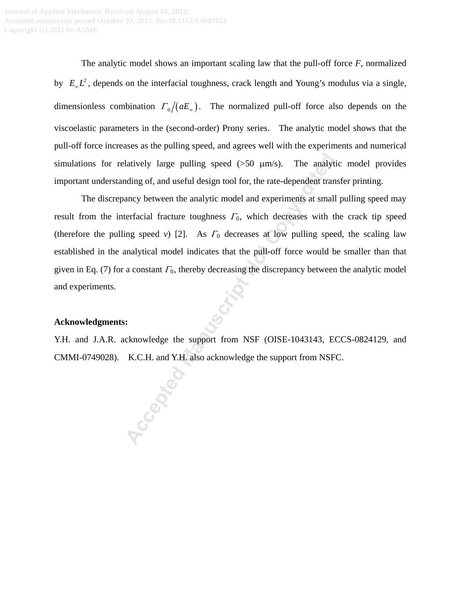The analytic model shows an important scaling law that the pull-off force *F*, normalized by  $E_{\omega}L^2$ , depends on the interfacial toughness, crack length and Young's modulus via a single, dimensionless combination  $\Gamma_0 / (aE_\infty)$ . The normalized pull-off force also depends on the viscoelastic parameters in the (second-order) Prony series. The analytic model shows that the pull-off force increases as the pulling speed, and agrees well with the experiments and numerical simulations for relatively large pulling speed  $(50 \mu m/s)$ . The analytic model provides important understanding of, and useful design tool for, the rate-dependent transfer printing.

The discrepancy between the analytic model and experiments at small pulling speed may result from the interfacial fracture toughness  $\Gamma_0$ , which decreases with the crack tip speed (therefore the pulling speed *v*) [2]. As  $\Gamma_0$  decreases at low pulling speed, the scaling law established in the analytical model indicates that the pull-off force would be smaller than that given in Eq. (7) for a constant  $\Gamma_0$ , thereby decreasing the discrepancy between the analytic model and experiments. Hatively large pulling speed (>50 μm/s). The analytoting of, and useful design tool for, the rate-dependent trancary between the analytic model and experiments at small terracial fracture toughness  $\Gamma_0$ , which decrease

### **Acknowledgments:**

Y.H. and J.A.R. acknowledge the support from NSF (OISE-1043143, ECCS-0824129, and CMMI-0749028). K.C.H. and Y.H. also acknowledge the support from NSFC.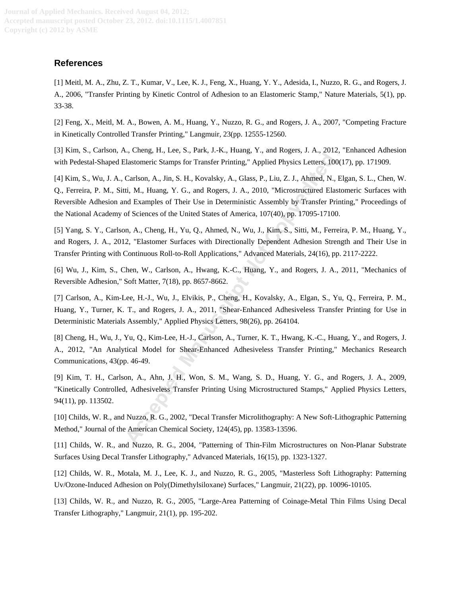### **References**

<span id="page-8-0"></span>[1] Meitl, M. A., Zhu, Z. T., Kumar, V., Lee, K. J., Feng, X., Huang, Y. Y., Adesida, I., Nuzzo, R. G., and Rogers, J. A., 2006, "Transfer Printing by Kinetic Control of Adhesion to an Elastomeric Stamp," Nature Materials, 5(1), pp. 33-38.

<span id="page-8-1"></span>[2] Feng, X., Meitl, M. A., Bowen, A. M., Huang, Y., Nuzzo, R. G., and Rogers, J. A., 2007, "Competing Fracture in Kinetically Controlled Transfer Printing," Langmuir, 23(pp. 12555-12560.

<span id="page-8-2"></span>[3] Kim, S., Carlson, A., Cheng, H., Lee, S., Park, J.-K., Huang, Y., and Rogers, J. A., 2012, "Enhanced Adhesion with Pedestal-Shaped Elastomeric Stamps for Transfer Printing," Applied Physics Letters, 100(17), pp. 171909.

<span id="page-8-6"></span>[4] Kim, S., Wu, J. A., Carlson, A., Jin, S. H., Kovalsky, A., Glass, P., Liu, Z. J., Ahmed, N., Elgan, S. L., Chen, W. Q., Ferreira, P. M., Sitti, M., Huang, Y. G., and Rogers, J. A., 2010, "Microstructured Elastomeric Surfaces with Reversible Adhesion and Examples of Their Use in Deterministic Assembly by Transfer Printing," Proceedings of the National Academy of Sciences of the United States of America, 107(40), pp. 17095-17100. an exterption and reading a matter of the state of the state of the state and the calisationeric Stamps for Transfer Printing," Applied Physics Letters, 10 Carlson, A., Jin, S. H., Kovalsky, A., Glass, P., Liu, Z. J., Ahme

[5] Yang, S. Y., Carlson, A., Cheng, H., Yu, Q., Ahmed, N., Wu, J., Kim, S., Sitti, M., Ferreira, P. M., Huang, Y., and Rogers, J. A., 2012, "Elastomer Surfaces with Directionally Dependent Adhesion Strength and Their Use in Transfer Printing with Continuous Roll-to-Roll Applications," Advanced Materials, 24(16), pp. 2117-2222.

[6] Wu, J., Kim, S., Chen, W., Carlson, A., Hwang, K.-C., Huang, Y., and Rogers, J. A., 2011, "Mechanics of Reversible Adhesion," Soft Matter, 7(18), pp. 8657-8662.

<span id="page-8-4"></span>[7] Carlson, A., Kim-Lee, H.-J., Wu, J., Elvikis, P., Cheng, H., Kovalsky, A., Elgan, S., Yu, Q., Ferreira, P. M., Huang, Y., Turner, K. T., and Rogers, J. A., 2011, "Shear-Enhanced Adhesiveless Transfer Printing for Use in Deterministic Materials Assembly," Applied Physics Letters, 98(26), pp. 264104.

<span id="page-8-5"></span>[8] Cheng, H., Wu, J., Yu, Q., Kim-Lee, H.-J., Carlson, A., Turner, K. T., Hwang, K.-C., Huang, Y., and Rogers, J. A., 2012, "An Analytical Model for Shear-Enhanced Adhesiveless Transfer Printing," Mechanics Research Communications, 43(pp. 46-49.

<span id="page-8-3"></span>[9] Kim, T. H., Carlson, A., Ahn, J. H., Won, S. M., Wang, S. D., Huang, Y. G., and Rogers, J. A., 2009, "Kinetically Controlled, Adhesiveless Transfer Printing Using Microstructured Stamps," Applied Physics Letters, 94(11), pp. 113502.

[10] Childs, W. R., and Nuzzo, R. G., 2002, "Decal Transfer Microlithography: A New Soft-Lithographic Patterning Method," Journal of the American Chemical Society, 124(45), pp. 13583-13596.

[11] Childs, W. R., and Nuzzo, R. G., 2004, "Patterning of Thin-Film Microstructures on Non-Planar Substrate Surfaces Using Decal Transfer Lithography," Advanced Materials, 16(15), pp. 1323-1327.

[12] Childs, W. R., Motala, M. J., Lee, K. J., and Nuzzo, R. G., 2005, "Masterless Soft Lithography: Patterning Uv/Ozone-Induced Adhesion on Poly(Dimethylsiloxane) Surfaces," Langmuir, 21(22), pp. 10096-10105.

[13] Childs, W. R., and Nuzzo, R. G., 2005, "Large-Area Patterning of Coinage-Metal Thin Films Using Decal Transfer Lithography," Langmuir, 21(1), pp. 195-202.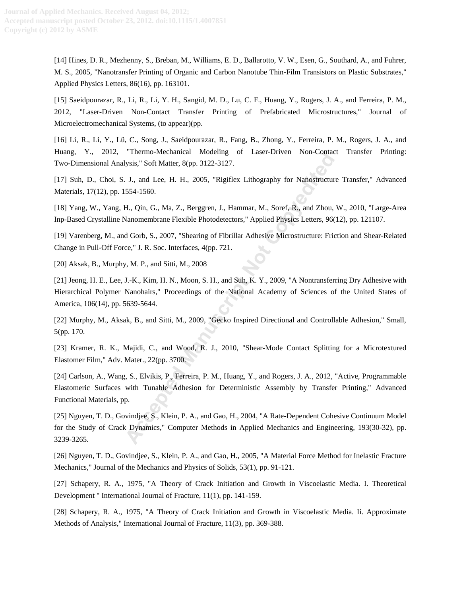[14] Hines, D. R., Mezhenny, S., Breban, M., Williams, E. D., Ballarotto, V. W., Esen, G., Southard, A., and Fuhrer, M. S., 2005, "Nanotransfer Printing of Organic and Carbon Nanotube Thin-Film Transistors on Plastic Substrates," Applied Physics Letters, 86(16), pp. 163101.

<span id="page-9-1"></span>[15] Saeidpourazar, R., Li, R., Li, Y. H., Sangid, M. D., Lu, C. F., Huang, Y., Rogers, J. A., and Ferreira, P. M., 2012, "Laser-Driven Non-Contact Transfer Printing of Prefabricated Microstructures," Journal of Microelectromechanical Systems, (to appear)(pp.

<span id="page-9-2"></span>[16] Li, R., Li, Y., Lü, C., Song, J., Saeidpourazar, R., Fang, B., Zhong, Y., Ferreira, P. M., Rogers, J. A., and Huang, Y., 2012, "Thermo-Mechanical Modeling of Laser-Driven Non-Contact Transfer Printing: Two-Dimensional Analysis," Soft Matter, 8(pp. 3122-3127.

[17] Suh, D., Choi, S. J., and Lee, H. H., 2005, "Rigiflex Lithography for Nanostructure Transfer," Advanced Materials, 17(12), pp. 1554-1560.

[18] Yang, W., Yang, H., Qin, G., Ma, Z., Berggren, J., Hammar, M., Soref, R., and Zhou, W., 2010, "Large-Area Inp-Based Crystalline Nanomembrane Flexible Photodetectors," Applied Physics Letters, 96(12), pp. 121107.

<span id="page-9-0"></span>[19] Varenberg, M., and Gorb, S., 2007, "Shearing of Fibrillar Adhesive Microstructure: Friction and Shear-Related Change in Pull-Off Force," J. R. Soc. Interfaces, 4(pp. 721.

[20] Aksak, B., Murphy, M. P., and Sitti, M., 2008

[21] Jeong, H. E., Lee, J.-K., Kim, H. N., Moon, S. H., and Suh, K. Y., 2009, "A Nontransferring Dry Adhesive with Hierarchical Polymer Nanohairs," Proceedings of the National Academy of Sciences of the United States of America, 106(14), pp. 5639-5644.

[22] Murphy, M., Aksak, B., and Sitti, M., 2009, "Gecko Inspired Directional and Controllable Adhesion," Small, 5(pp. 170.

[23] Kramer, R. K., Majidi, C., and Wood, R. J., 2010, "Shear-Mode Contact Splitting for a Microtextured Elastomer Film," Adv. Mater., 22(pp. 3700.

<span id="page-9-4"></span><span id="page-9-3"></span>[24] Carlson, A., Wang, S., Elvikis, P., Ferreira, P. M., Huang, Y., and Rogers, J. A., 2012, "Active, Programmable Elastomeric Surfaces with Tunable Adhesion for Deterministic Assembly by Transfer Printing," Advanced Functional Materials, pp.

[25] Nguyen, T. D., Govindjee, S., Klein, P. A., and Gao, H., 2004, "A Rate-Dependent Cohesive Continuum Model for the Study of Crack Dynamics," Computer Methods in Applied Mechanics and Engineering, 193(30-32), pp. 3239-3265. **Accelering States, 1992**<br> **Accelering States, 8(pp. 3122-3127**<br> **Accelering Manuscript Internal Manuscript Non-Contacts**<br> **Accelering Manuscript Note Constrained Manuscript Non-Content S54-1560.**<br> **Although Manuscript Not** 

<span id="page-9-5"></span>[26] Nguyen, T. D., Govindjee, S., Klein, P. A., and Gao, H., 2005, "A Material Force Method for Inelastic Fracture Mechanics," Journal of the Mechanics and Physics of Solids, 53(1), pp. 91-121.

<span id="page-9-6"></span>[27] Schapery, R. A., 1975, "A Theory of Crack Initiation and Growth in Viscoelastic Media. I. Theoretical Development " International Journal of Fracture, 11(1), pp. 141-159.

<span id="page-9-7"></span>[28] Schapery, R. A., 1975, "A Theory of Crack Initiation and Growth in Viscoelastic Media. Ii. Approximate Methods of Analysis," International Journal of Fracture, 11(3), pp. 369-388.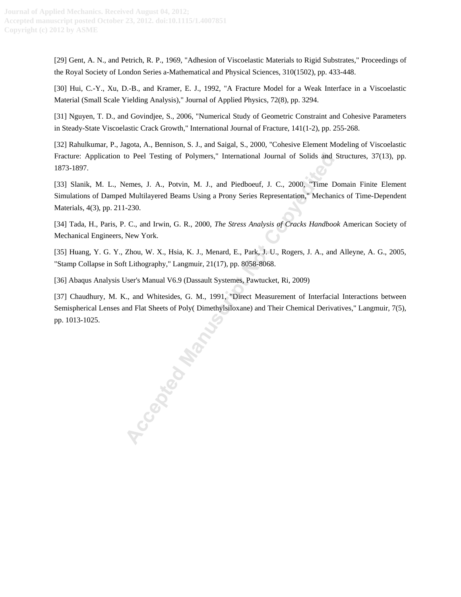<span id="page-10-0"></span>[29] Gent, A. N., and Petrich, R. P., 1969, "Adhesion of Viscoelastic Materials to Rigid Substrates," Proceedings of the Royal Society of London Series a-Mathematical and Physical Sciences, 310(1502), pp. 433-448.

<span id="page-10-1"></span>[30] Hui, C.-Y., Xu, D.-B., and Kramer, E. J., 1992, "A Fracture Model for a Weak Interface in a Viscoelastic Material (Small Scale Yielding Analysis)," Journal of Applied Physics, 72(8), pp. 3294.

<span id="page-10-2"></span>[31] Nguyen, T. D., and Govindjee, S., 2006, "Numerical Study of Geometric Constraint and Cohesive Parameters in Steady-State Viscoelastic Crack Growth," International Journal of Fracture, 141(1-2), pp. 255-268.

<span id="page-10-3"></span>[32] Rahulkumar, P., Jagota, A., Bennison, S. J., and Saigal, S., 2000, "Cohesive Element Modeling of Viscoelastic Fracture: Application to Peel Testing of Polymers," International Journal of Solids and Structures, 37(13), pp. 1873-1897.

<span id="page-10-4"></span>[33] Slanik, M. L., Nemes, J. A., Potvin, M. J., and Piedboeuf, J. C., 2000, "Time Domain Finite Element Simulations of Damped Multilayered Beams Using a Prony Series Representation," Mechanics of Time-Dependent Materials, 4(3), pp. 211-230.

<span id="page-10-5"></span>[34] Tada, H., Paris, P. C., and Irwin, G. R., 2000, *The Stress Analysis of Cracks Handbook* American Society of Mechanical Engineers, New York.

<span id="page-10-6"></span>[35] Huang, Y. G. Y., Zhou, W. X., Hsia, K. J., Menard, E., Park, J. U., Rogers, J. A., and Alleyne, A. G., 2005, "Stamp Collapse in Soft Lithography," Langmuir, 21(17), pp. 8058-8068.

<span id="page-10-7"></span>[36] Abaqus Analysis User's Manual V6.9 (Dassault Systemes, Pawtucket, Ri, 2009)

<span id="page-10-8"></span>[37] Chaudhury, M. K., and Whitesides, G. M., 1991, "Direct Measurement of Interfacial Interactions between Semispherical Lenses and Flat Sheets of Poly( Dimethylsiloxane) and Their Chemical Derivatives," Langmuir, 7(5), pp. 1013-1025.

to Peel Testing of Polymers," International Journal of Solids and<br>
femes, J. A., Potvin, M. J., and Piedboeuf, J. C., 2000, "Time I<br>
Multilayered Beams Using a Prony Series Representation," Mechan<br>
-230.<br>
C., and Irwin, G.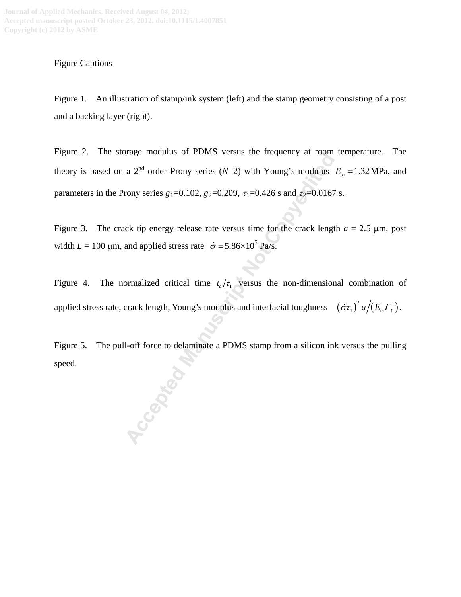## Figure Captions

Figure 1. An illustration of stamp/ink system (left) and the stamp geometry consisting of a post and a backing layer (right).

Figure 2. The storage modulus of PDMS versus the frequency at room temperature. The theory is based on a 2<sup>nd</sup> order Prony series (*N*=2) with Young's modulus  $E_{\infty} = 1.32 \text{ MPa}$ , and parameters in the Prony series  $g_1=0.102$ ,  $g_2=0.209$ ,  $\tau_1=0.426$  s and  $\tau_2=0.0167$  s. a 2<sup>nd</sup> order Prony series (*N*=2) with Young's modulus<br>
a 2<sup>nd</sup> order Prony series (*N*=2) with Young's modulus<br>
rony series  $g_1$ =0.102,  $g_2$ =0.209,  $\tau_1$ =0.426 s and  $\tau_2$ =0.0167<br>
ck tip energy release rate versus t

Figure 3. The crack tip energy release rate versus time for the crack length  $a = 2.5 \mu m$ , post width  $L = 100 \text{ µm}$ , and applied stress rate  $\dot{\sigma} = 5.86 \times 10^5 \text{ Pa/s}$ .

Figure 4. The normalized critical time  $t_c/\tau_1$  versus the non-dimensional combination of applied stress rate, crack length, Young's modulus and interfacial toughness  $-(\dot{\sigma}\tau_1)^2 a/(E_{\omega}\Gamma_0)$ .

Figure 5. The pull-off force to delaminate a PDMS stamp from a silicon ink versus the pulling speed.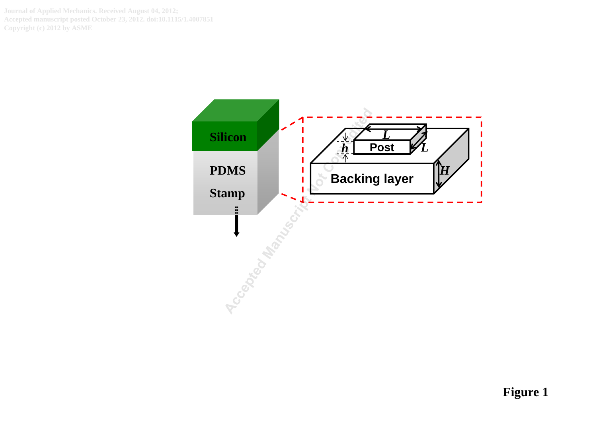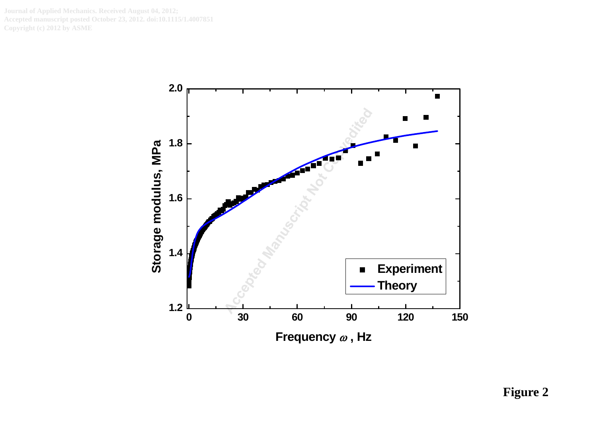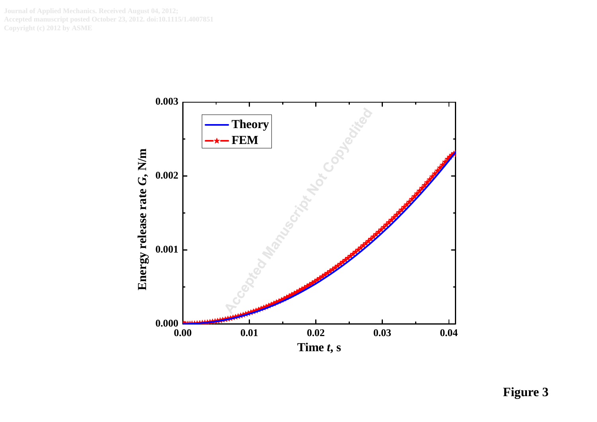

**Figure 3**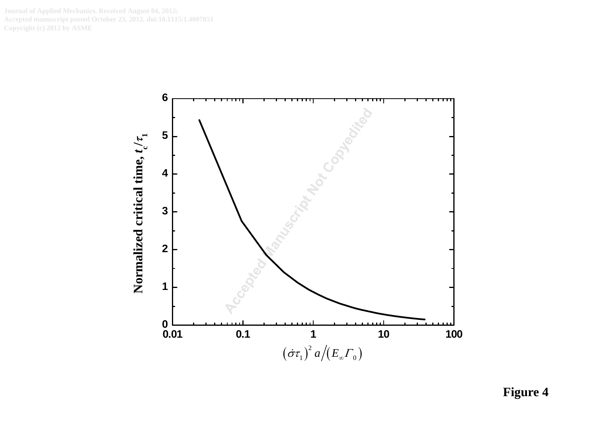

**Figure 4**